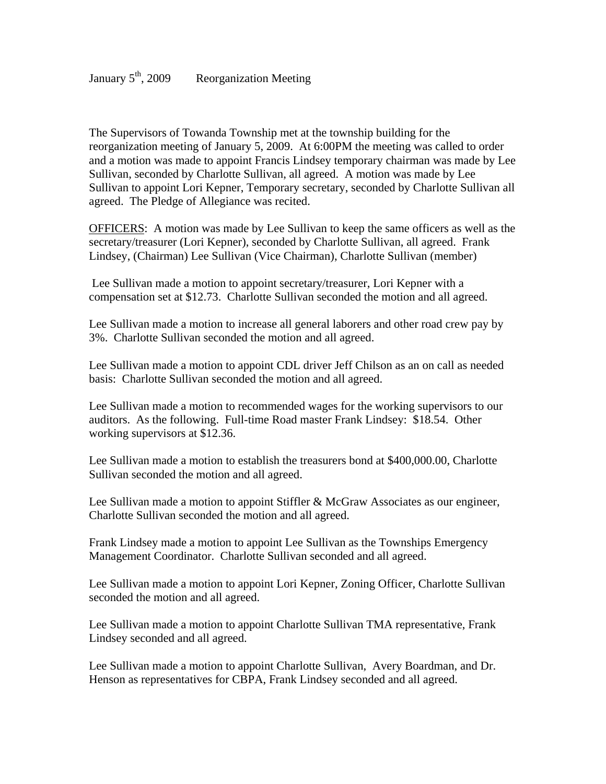The Supervisors of Towanda Township met at the township building for the reorganization meeting of January 5, 2009. At 6:00PM the meeting was called to order and a motion was made to appoint Francis Lindsey temporary chairman was made by Lee Sullivan, seconded by Charlotte Sullivan, all agreed. A motion was made by Lee Sullivan to appoint Lori Kepner, Temporary secretary, seconded by Charlotte Sullivan all agreed. The Pledge of Allegiance was recited.

OFFICERS: A motion was made by Lee Sullivan to keep the same officers as well as the secretary/treasurer (Lori Kepner), seconded by Charlotte Sullivan, all agreed. Frank Lindsey, (Chairman) Lee Sullivan (Vice Chairman), Charlotte Sullivan (member)

 Lee Sullivan made a motion to appoint secretary/treasurer, Lori Kepner with a compensation set at \$12.73. Charlotte Sullivan seconded the motion and all agreed.

Lee Sullivan made a motion to increase all general laborers and other road crew pay by 3%. Charlotte Sullivan seconded the motion and all agreed.

Lee Sullivan made a motion to appoint CDL driver Jeff Chilson as an on call as needed basis: Charlotte Sullivan seconded the motion and all agreed.

Lee Sullivan made a motion to recommended wages for the working supervisors to our auditors. As the following. Full-time Road master Frank Lindsey: \$18.54. Other working supervisors at \$12.36.

Lee Sullivan made a motion to establish the treasurers bond at \$400,000.00, Charlotte Sullivan seconded the motion and all agreed.

Lee Sullivan made a motion to appoint Stiffler & McGraw Associates as our engineer, Charlotte Sullivan seconded the motion and all agreed.

Frank Lindsey made a motion to appoint Lee Sullivan as the Townships Emergency Management Coordinator. Charlotte Sullivan seconded and all agreed.

Lee Sullivan made a motion to appoint Lori Kepner, Zoning Officer, Charlotte Sullivan seconded the motion and all agreed.

Lee Sullivan made a motion to appoint Charlotte Sullivan TMA representative, Frank Lindsey seconded and all agreed.

Lee Sullivan made a motion to appoint Charlotte Sullivan, Avery Boardman, and Dr. Henson as representatives for CBPA, Frank Lindsey seconded and all agreed.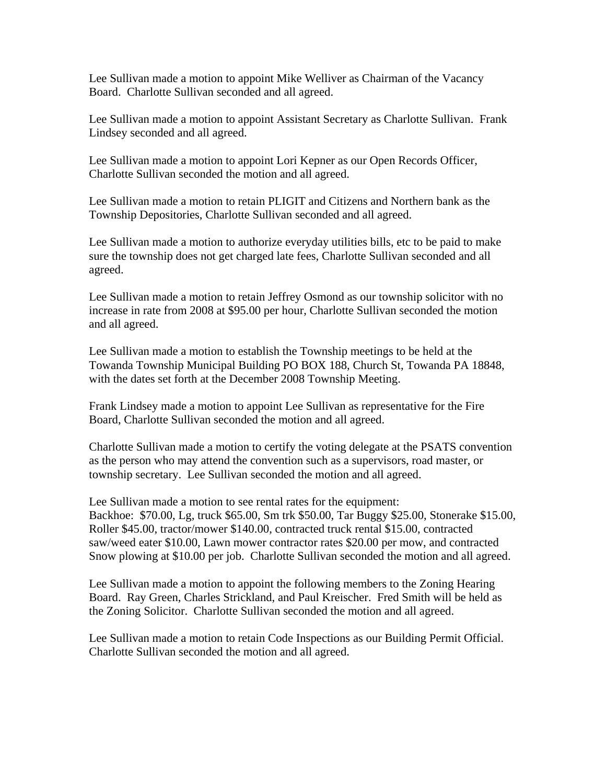Lee Sullivan made a motion to appoint Mike Welliver as Chairman of the Vacancy Board. Charlotte Sullivan seconded and all agreed.

Lee Sullivan made a motion to appoint Assistant Secretary as Charlotte Sullivan. Frank Lindsey seconded and all agreed.

Lee Sullivan made a motion to appoint Lori Kepner as our Open Records Officer, Charlotte Sullivan seconded the motion and all agreed.

Lee Sullivan made a motion to retain PLIGIT and Citizens and Northern bank as the Township Depositories, Charlotte Sullivan seconded and all agreed.

Lee Sullivan made a motion to authorize everyday utilities bills, etc to be paid to make sure the township does not get charged late fees, Charlotte Sullivan seconded and all agreed.

Lee Sullivan made a motion to retain Jeffrey Osmond as our township solicitor with no increase in rate from 2008 at \$95.00 per hour, Charlotte Sullivan seconded the motion and all agreed.

Lee Sullivan made a motion to establish the Township meetings to be held at the Towanda Township Municipal Building PO BOX 188, Church St, Towanda PA 18848, with the dates set forth at the December 2008 Township Meeting.

Frank Lindsey made a motion to appoint Lee Sullivan as representative for the Fire Board, Charlotte Sullivan seconded the motion and all agreed.

Charlotte Sullivan made a motion to certify the voting delegate at the PSATS convention as the person who may attend the convention such as a supervisors, road master, or township secretary. Lee Sullivan seconded the motion and all agreed.

Lee Sullivan made a motion to see rental rates for the equipment: Backhoe: \$70.00, Lg, truck \$65.00, Sm trk \$50.00, Tar Buggy \$25.00, Stonerake \$15.00, Roller \$45.00, tractor/mower \$140.00, contracted truck rental \$15.00, contracted saw/weed eater \$10.00, Lawn mower contractor rates \$20.00 per mow, and contracted Snow plowing at \$10.00 per job. Charlotte Sullivan seconded the motion and all agreed.

Lee Sullivan made a motion to appoint the following members to the Zoning Hearing Board. Ray Green, Charles Strickland, and Paul Kreischer. Fred Smith will be held as the Zoning Solicitor. Charlotte Sullivan seconded the motion and all agreed.

Lee Sullivan made a motion to retain Code Inspections as our Building Permit Official. Charlotte Sullivan seconded the motion and all agreed.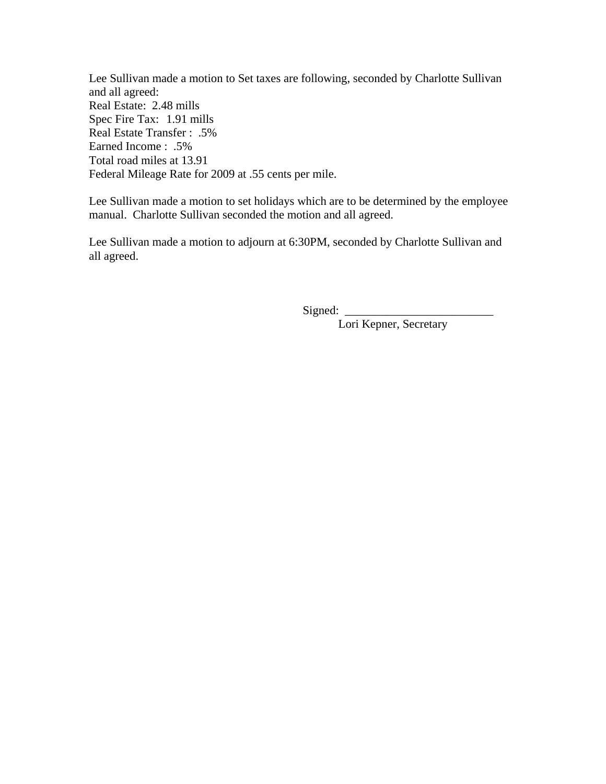Lee Sullivan made a motion to Set taxes are following, seconded by Charlotte Sullivan and all agreed: Real Estate: 2.48 mills Spec Fire Tax: 1.91 mills Real Estate Transfer : .5% Earned Income : .5% Total road miles at 13.91 Federal Mileage Rate for 2009 at .55 cents per mile.

Lee Sullivan made a motion to set holidays which are to be determined by the employee manual. Charlotte Sullivan seconded the motion and all agreed.

Lee Sullivan made a motion to adjourn at 6:30PM, seconded by Charlotte Sullivan and all agreed.

Signed:

Lori Kepner, Secretary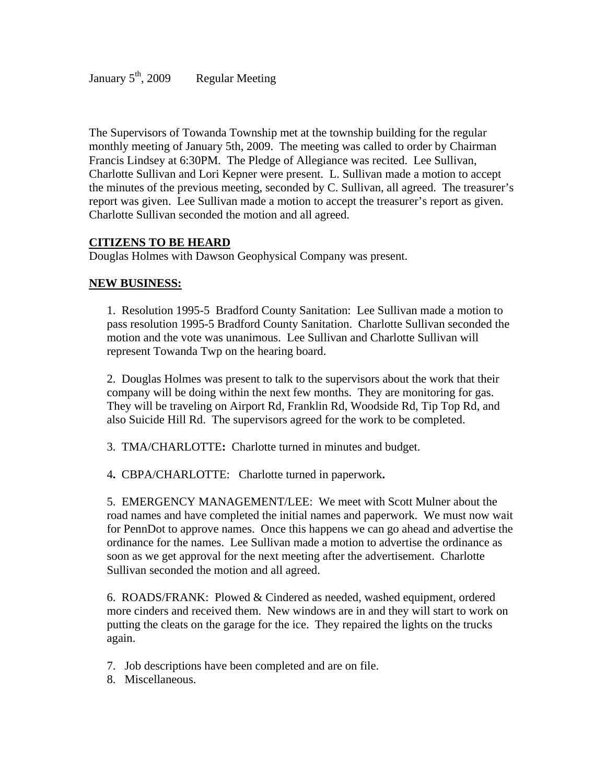The Supervisors of Towanda Township met at the township building for the regular monthly meeting of January 5th, 2009. The meeting was called to order by Chairman Francis Lindsey at 6:30PM. The Pledge of Allegiance was recited. Lee Sullivan, Charlotte Sullivan and Lori Kepner were present. L. Sullivan made a motion to accept the minutes of the previous meeting, seconded by C. Sullivan, all agreed. The treasurer's report was given. Lee Sullivan made a motion to accept the treasurer's report as given. Charlotte Sullivan seconded the motion and all agreed.

## **CITIZENS TO BE HEARD**

Douglas Holmes with Dawson Geophysical Company was present.

#### **NEW BUSINESS:**

1. Resolution 1995-5 Bradford County Sanitation: Lee Sullivan made a motion to pass resolution 1995-5 Bradford County Sanitation. Charlotte Sullivan seconded the motion and the vote was unanimous. Lee Sullivan and Charlotte Sullivan will represent Towanda Twp on the hearing board.

2. Douglas Holmes was present to talk to the supervisors about the work that their company will be doing within the next few months. They are monitoring for gas. They will be traveling on Airport Rd, Franklin Rd, Woodside Rd, Tip Top Rd, and also Suicide Hill Rd. The supervisors agreed for the work to be completed.

3.TMA/CHARLOTTE**:** Charlotte turned in minutes and budget.

4**.** CBPA/CHARLOTTE:Charlotte turned in paperwork**.** 

5. EMERGENCY MANAGEMENT/LEE: We meet with Scott Mulner about the road names and have completed the initial names and paperwork. We must now wait for PennDot to approve names. Once this happens we can go ahead and advertise the ordinance for the names. Lee Sullivan made a motion to advertise the ordinance as soon as we get approval for the next meeting after the advertisement. Charlotte Sullivan seconded the motion and all agreed.

6. ROADS/FRANK: Plowed & Cindered as needed, washed equipment, ordered more cinders and received them. New windows are in and they will start to work on putting the cleats on the garage for the ice. They repaired the lights on the trucks again.

- 7. Job descriptions have been completed and are on file.
- 8. Miscellaneous.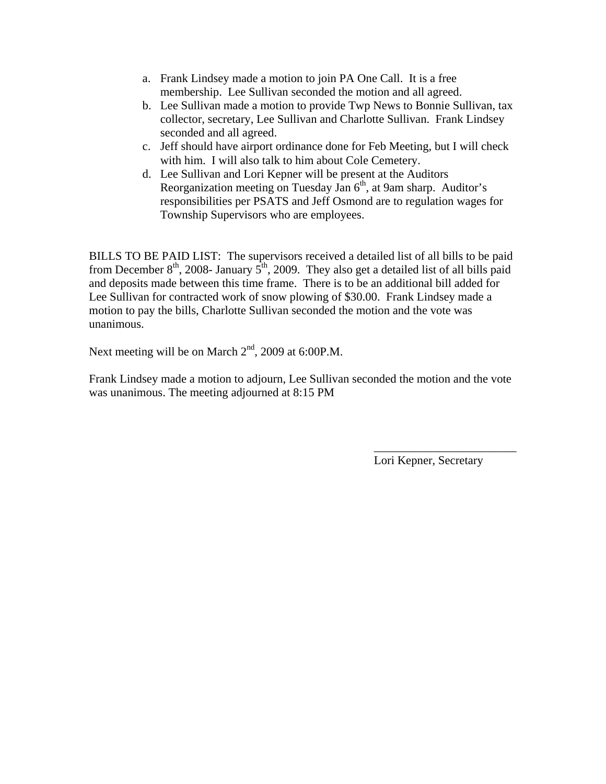- a. Frank Lindsey made a motion to join PA One Call. It is a free membership. Lee Sullivan seconded the motion and all agreed.
- b. Lee Sullivan made a motion to provide Twp News to Bonnie Sullivan, tax collector, secretary, Lee Sullivan and Charlotte Sullivan. Frank Lindsey seconded and all agreed.
- c. Jeff should have airport ordinance done for Feb Meeting, but I will check with him. I will also talk to him about Cole Cemetery.
- d. Lee Sullivan and Lori Kepner will be present at the Auditors Reorganization meeting on Tuesday Jan 6<sup>th</sup>, at 9am sharp. Auditor's responsibilities per PSATS and Jeff Osmond are to regulation wages for Township Supervisors who are employees.

BILLS TO BE PAID LIST: The supervisors received a detailed list of all bills to be paid from December  $8^{th}$ , 2008- January  $5^{th}$ , 2009. They also get a detailed list of all bills paid and deposits made between this time frame. There is to be an additional bill added for Lee Sullivan for contracted work of snow plowing of \$30.00. Frank Lindsey made a motion to pay the bills, Charlotte Sullivan seconded the motion and the vote was unanimous.

Next meeting will be on March  $2<sup>nd</sup>$ , 2009 at 6:00P.M.

Frank Lindsey made a motion to adjourn, Lee Sullivan seconded the motion and the vote was unanimous. The meeting adjourned at 8:15 PM

 $\overline{\phantom{a}}$  , which is a set of the contract of the contract of the contract of the contract of the contract of the contract of the contract of the contract of the contract of the contract of the contract of the contract

Lori Kepner, Secretary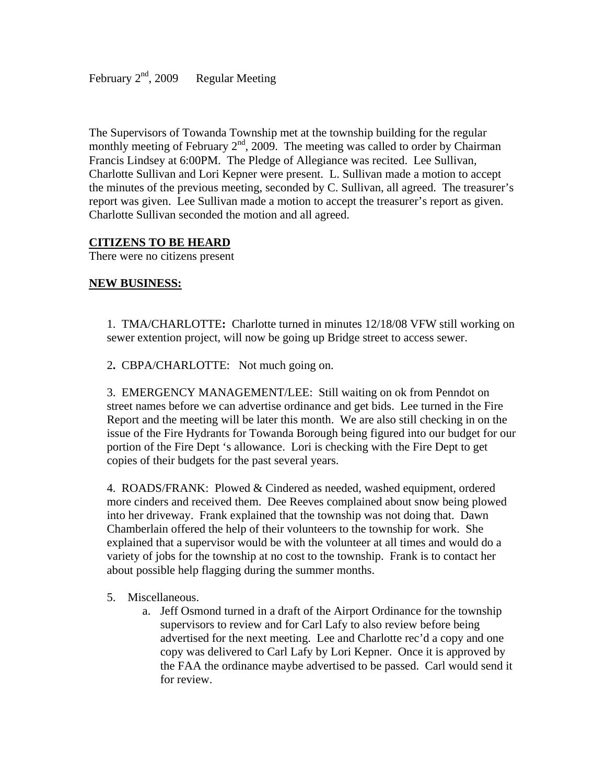February  $2<sup>nd</sup>$ , 2009 Regular Meeting

The Supervisors of Towanda Township met at the township building for the regular monthly meeting of February  $2<sup>nd</sup>$ , 2009. The meeting was called to order by Chairman Francis Lindsey at 6:00PM. The Pledge of Allegiance was recited. Lee Sullivan, Charlotte Sullivan and Lori Kepner were present. L. Sullivan made a motion to accept the minutes of the previous meeting, seconded by C. Sullivan, all agreed. The treasurer's report was given. Lee Sullivan made a motion to accept the treasurer's report as given. Charlotte Sullivan seconded the motion and all agreed.

#### **CITIZENS TO BE HEARD**

There were no citizens present

#### **NEW BUSINESS:**

1.TMA/CHARLOTTE**:** Charlotte turned in minutes 12/18/08 VFW still working on sewer extention project, will now be going up Bridge street to access sewer.

2**.** CBPA/CHARLOTTE:Not much going on.

3. EMERGENCY MANAGEMENT/LEE: Still waiting on ok from Penndot on street names before we can advertise ordinance and get bids. Lee turned in the Fire Report and the meeting will be later this month. We are also still checking in on the issue of the Fire Hydrants for Towanda Borough being figured into our budget for our portion of the Fire Dept 's allowance. Lori is checking with the Fire Dept to get copies of their budgets for the past several years.

4. ROADS/FRANK: Plowed & Cindered as needed, washed equipment, ordered more cinders and received them. Dee Reeves complained about snow being plowed into her driveway. Frank explained that the township was not doing that. Dawn Chamberlain offered the help of their volunteers to the township for work. She explained that a supervisor would be with the volunteer at all times and would do a variety of jobs for the township at no cost to the township. Frank is to contact her about possible help flagging during the summer months.

#### 5. Miscellaneous.

a. Jeff Osmond turned in a draft of the Airport Ordinance for the township supervisors to review and for Carl Lafy to also review before being advertised for the next meeting. Lee and Charlotte rec'd a copy and one copy was delivered to Carl Lafy by Lori Kepner. Once it is approved by the FAA the ordinance maybe advertised to be passed. Carl would send it for review.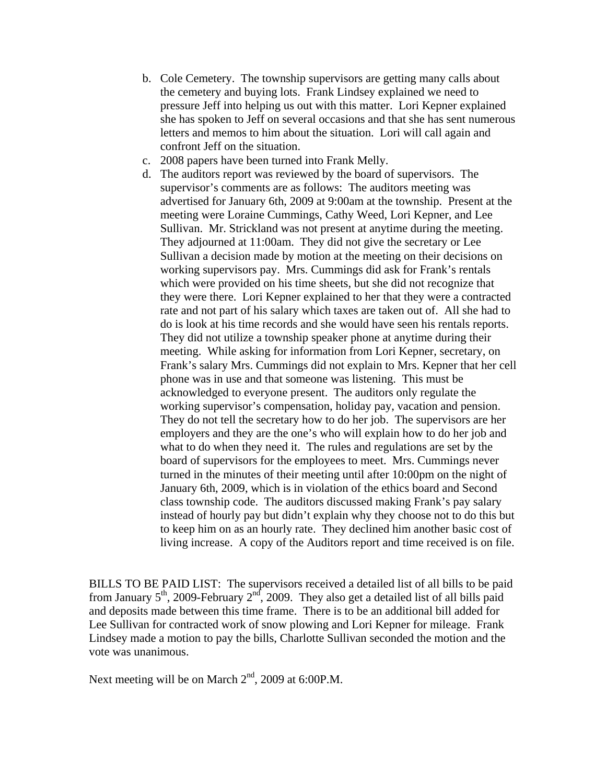- b. Cole Cemetery. The township supervisors are getting many calls about the cemetery and buying lots. Frank Lindsey explained we need to pressure Jeff into helping us out with this matter. Lori Kepner explained she has spoken to Jeff on several occasions and that she has sent numerous letters and memos to him about the situation. Lori will call again and confront Jeff on the situation.
- c. 2008 papers have been turned into Frank Melly.
- d. The auditors report was reviewed by the board of supervisors. The supervisor's comments are as follows: The auditors meeting was advertised for January 6th, 2009 at 9:00am at the township. Present at the meeting were Loraine Cummings, Cathy Weed, Lori Kepner, and Lee Sullivan. Mr. Strickland was not present at anytime during the meeting. They adjourned at 11:00am. They did not give the secretary or Lee Sullivan a decision made by motion at the meeting on their decisions on working supervisors pay. Mrs. Cummings did ask for Frank's rentals which were provided on his time sheets, but she did not recognize that they were there. Lori Kepner explained to her that they were a contracted rate and not part of his salary which taxes are taken out of. All she had to do is look at his time records and she would have seen his rentals reports. They did not utilize a township speaker phone at anytime during their meeting. While asking for information from Lori Kepner, secretary, on Frank's salary Mrs. Cummings did not explain to Mrs. Kepner that her cell phone was in use and that someone was listening. This must be acknowledged to everyone present. The auditors only regulate the working supervisor's compensation, holiday pay, vacation and pension. They do not tell the secretary how to do her job. The supervisors are her employers and they are the one's who will explain how to do her job and what to do when they need it. The rules and regulations are set by the board of supervisors for the employees to meet. Mrs. Cummings never turned in the minutes of their meeting until after 10:00pm on the night of January 6th, 2009, which is in violation of the ethics board and Second class township code. The auditors discussed making Frank's pay salary instead of hourly pay but didn't explain why they choose not to do this but to keep him on as an hourly rate. They declined him another basic cost of living increase. A copy of the Auditors report and time received is on file.

BILLS TO BE PAID LIST: The supervisors received a detailed list of all bills to be paid from January  $5<sup>th</sup>$ , 2009-February  $2<sup>nd</sup>$ , 2009. They also get a detailed list of all bills paid and deposits made between this time frame. There is to be an additional bill added for Lee Sullivan for contracted work of snow plowing and Lori Kepner for mileage. Frank Lindsey made a motion to pay the bills, Charlotte Sullivan seconded the motion and the vote was unanimous.

Next meeting will be on March  $2<sup>nd</sup>$ , 2009 at 6:00P.M.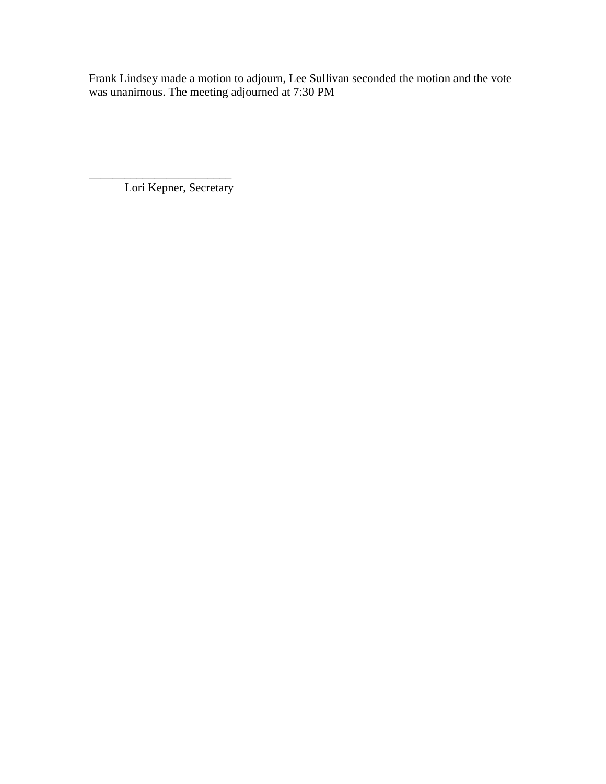Frank Lindsey made a motion to adjourn, Lee Sullivan seconded the motion and the vote was unanimous. The meeting adjourned at 7:30 PM

\_\_\_\_\_\_\_\_\_\_\_\_\_\_\_\_\_\_\_\_\_\_\_\_ Lori Kepner, Secretary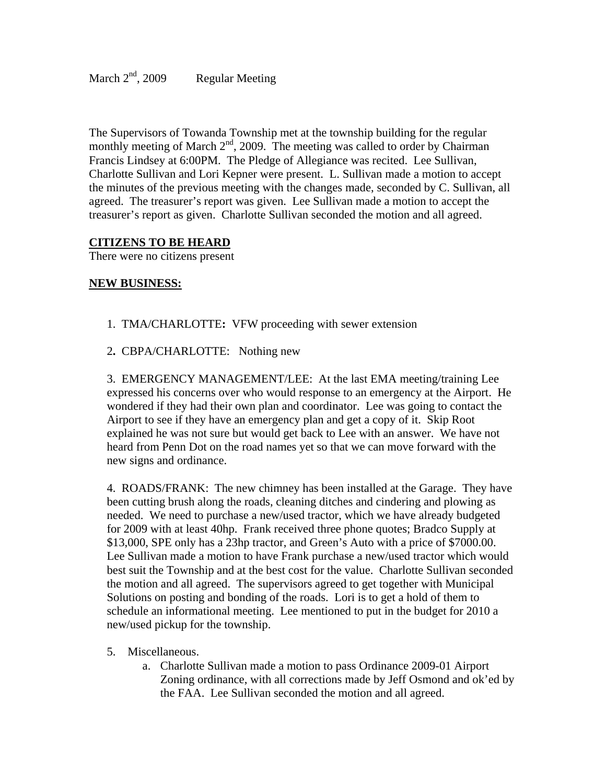The Supervisors of Towanda Township met at the township building for the regular monthly meeting of March  $2<sup>nd</sup>$ , 2009. The meeting was called to order by Chairman Francis Lindsey at 6:00PM. The Pledge of Allegiance was recited. Lee Sullivan, Charlotte Sullivan and Lori Kepner were present. L. Sullivan made a motion to accept the minutes of the previous meeting with the changes made, seconded by C. Sullivan, all agreed. The treasurer's report was given. Lee Sullivan made a motion to accept the treasurer's report as given. Charlotte Sullivan seconded the motion and all agreed.

#### **CITIZENS TO BE HEARD**

There were no citizens present

#### **NEW BUSINESS:**

- 1.TMA/CHARLOTTE**:** VFW proceeding with sewer extension
- 2**.** CBPA/CHARLOTTE:Nothing new

3. EMERGENCY MANAGEMENT/LEE: At the last EMA meeting/training Lee expressed his concerns over who would response to an emergency at the Airport. He wondered if they had their own plan and coordinator. Lee was going to contact the Airport to see if they have an emergency plan and get a copy of it. Skip Root explained he was not sure but would get back to Lee with an answer. We have not heard from Penn Dot on the road names yet so that we can move forward with the new signs and ordinance.

4. ROADS/FRANK: The new chimney has been installed at the Garage. They have been cutting brush along the roads, cleaning ditches and cindering and plowing as needed. We need to purchase a new/used tractor, which we have already budgeted for 2009 with at least 40hp. Frank received three phone quotes; Bradco Supply at \$13,000, SPE only has a 23hp tractor, and Green's Auto with a price of \$7000.00. Lee Sullivan made a motion to have Frank purchase a new/used tractor which would best suit the Township and at the best cost for the value. Charlotte Sullivan seconded the motion and all agreed. The supervisors agreed to get together with Municipal Solutions on posting and bonding of the roads. Lori is to get a hold of them to schedule an informational meeting. Lee mentioned to put in the budget for 2010 a new/used pickup for the township.

- 5. Miscellaneous.
	- a. Charlotte Sullivan made a motion to pass Ordinance 2009-01 Airport Zoning ordinance, with all corrections made by Jeff Osmond and ok'ed by the FAA. Lee Sullivan seconded the motion and all agreed.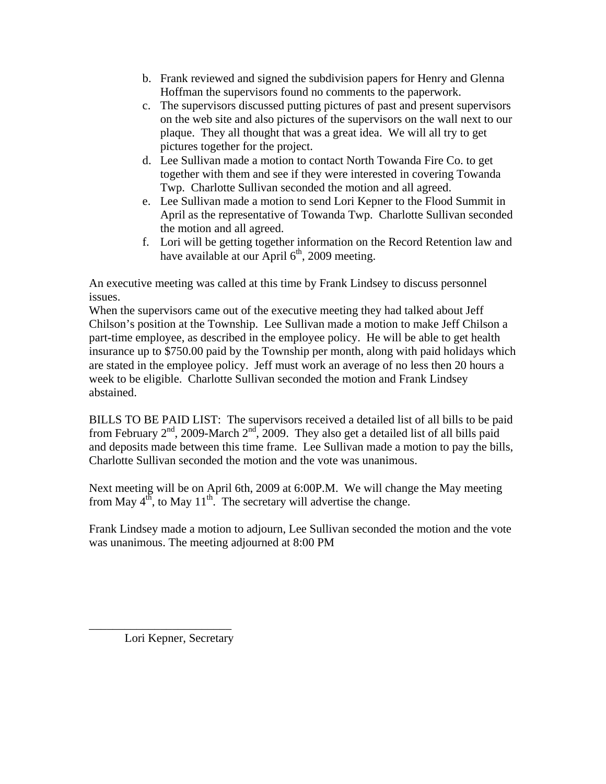- b. Frank reviewed and signed the subdivision papers for Henry and Glenna Hoffman the supervisors found no comments to the paperwork.
- c. The supervisors discussed putting pictures of past and present supervisors on the web site and also pictures of the supervisors on the wall next to our plaque. They all thought that was a great idea. We will all try to get pictures together for the project.
- d. Lee Sullivan made a motion to contact North Towanda Fire Co. to get together with them and see if they were interested in covering Towanda Twp. Charlotte Sullivan seconded the motion and all agreed.
- e. Lee Sullivan made a motion to send Lori Kepner to the Flood Summit in April as the representative of Towanda Twp. Charlotte Sullivan seconded the motion and all agreed.
- f. Lori will be getting together information on the Record Retention law and have available at our April  $6<sup>th</sup>$ , 2009 meeting.

An executive meeting was called at this time by Frank Lindsey to discuss personnel issues.

When the supervisors came out of the executive meeting they had talked about Jeff Chilson's position at the Township. Lee Sullivan made a motion to make Jeff Chilson a part-time employee, as described in the employee policy. He will be able to get health insurance up to \$750.00 paid by the Township per month, along with paid holidays which are stated in the employee policy. Jeff must work an average of no less then 20 hours a week to be eligible. Charlotte Sullivan seconded the motion and Frank Lindsey abstained.

BILLS TO BE PAID LIST: The supervisors received a detailed list of all bills to be paid from February  $2^{nd}$ , 2009-March  $2^{nd}$ , 2009. They also get a detailed list of all bills paid and deposits made between this time frame. Lee Sullivan made a motion to pay the bills, Charlotte Sullivan seconded the motion and the vote was unanimous.

Next meeting will be on April 6th, 2009 at 6:00P.M. We will change the May meeting from May  $4^{th}$ , to May  $11^{th}$ . The secretary will advertise the change.

Frank Lindsey made a motion to adjourn, Lee Sullivan seconded the motion and the vote was unanimous. The meeting adjourned at 8:00 PM

Lori Kepner, Secretary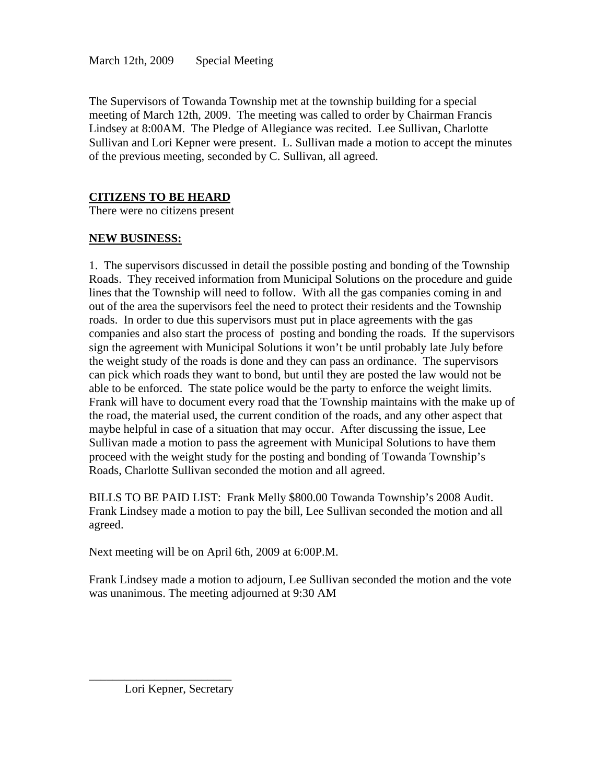The Supervisors of Towanda Township met at the township building for a special meeting of March 12th, 2009. The meeting was called to order by Chairman Francis Lindsey at 8:00AM. The Pledge of Allegiance was recited. Lee Sullivan, Charlotte Sullivan and Lori Kepner were present. L. Sullivan made a motion to accept the minutes of the previous meeting, seconded by C. Sullivan, all agreed.

# **CITIZENS TO BE HEARD**

There were no citizens present

# **NEW BUSINESS:**

1. The supervisors discussed in detail the possible posting and bonding of the Township Roads. They received information from Municipal Solutions on the procedure and guide lines that the Township will need to follow. With all the gas companies coming in and out of the area the supervisors feel the need to protect their residents and the Township roads. In order to due this supervisors must put in place agreements with the gas companies and also start the process of posting and bonding the roads. If the supervisors sign the agreement with Municipal Solutions it won't be until probably late July before the weight study of the roads is done and they can pass an ordinance. The supervisors can pick which roads they want to bond, but until they are posted the law would not be able to be enforced. The state police would be the party to enforce the weight limits. Frank will have to document every road that the Township maintains with the make up of the road, the material used, the current condition of the roads, and any other aspect that maybe helpful in case of a situation that may occur. After discussing the issue, Lee Sullivan made a motion to pass the agreement with Municipal Solutions to have them proceed with the weight study for the posting and bonding of Towanda Township's Roads, Charlotte Sullivan seconded the motion and all agreed.

BILLS TO BE PAID LIST: Frank Melly \$800.00 Towanda Township's 2008 Audit. Frank Lindsey made a motion to pay the bill, Lee Sullivan seconded the motion and all agreed.

Next meeting will be on April 6th, 2009 at 6:00P.M.

Frank Lindsey made a motion to adjourn, Lee Sullivan seconded the motion and the vote was unanimous. The meeting adjourned at 9:30 AM

Lori Kepner, Secretary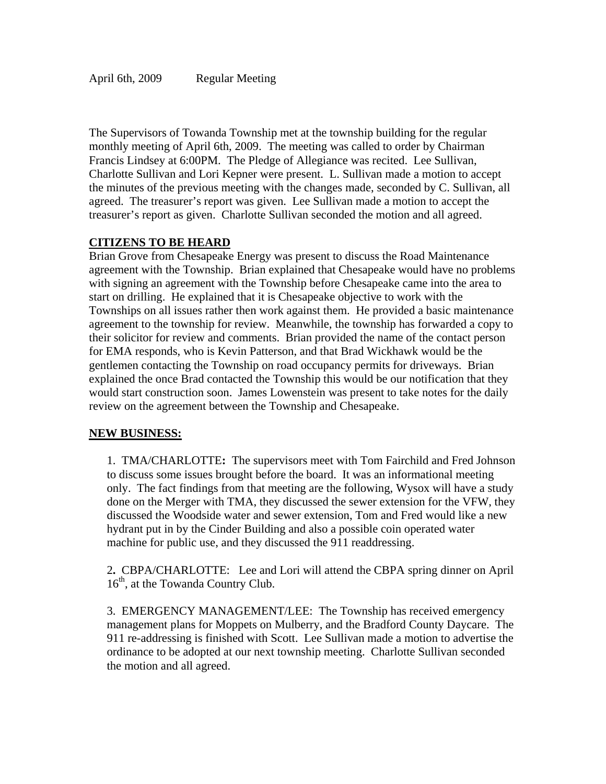The Supervisors of Towanda Township met at the township building for the regular monthly meeting of April 6th, 2009. The meeting was called to order by Chairman Francis Lindsey at 6:00PM. The Pledge of Allegiance was recited. Lee Sullivan, Charlotte Sullivan and Lori Kepner were present. L. Sullivan made a motion to accept the minutes of the previous meeting with the changes made, seconded by C. Sullivan, all agreed. The treasurer's report was given. Lee Sullivan made a motion to accept the treasurer's report as given. Charlotte Sullivan seconded the motion and all agreed.

## **CITIZENS TO BE HEARD**

Brian Grove from Chesapeake Energy was present to discuss the Road Maintenance agreement with the Township. Brian explained that Chesapeake would have no problems with signing an agreement with the Township before Chesapeake came into the area to start on drilling. He explained that it is Chesapeake objective to work with the Townships on all issues rather then work against them. He provided a basic maintenance agreement to the township for review. Meanwhile, the township has forwarded a copy to their solicitor for review and comments. Brian provided the name of the contact person for EMA responds, who is Kevin Patterson, and that Brad Wickhawk would be the gentlemen contacting the Township on road occupancy permits for driveways. Brian explained the once Brad contacted the Township this would be our notification that they would start construction soon. James Lowenstein was present to take notes for the daily review on the agreement between the Township and Chesapeake.

## **NEW BUSINESS:**

1.TMA/CHARLOTTE**:** The supervisors meet with Tom Fairchild and Fred Johnson to discuss some issues brought before the board. It was an informational meeting only. The fact findings from that meeting are the following, Wysox will have a study done on the Merger with TMA, they discussed the sewer extension for the VFW, they discussed the Woodside water and sewer extension, Tom and Fred would like a new hydrant put in by the Cinder Building and also a possible coin operated water machine for public use, and they discussed the 911 readdressing.

2**.** CBPA/CHARLOTTE:Lee and Lori will attend the CBPA spring dinner on April  $16<sup>th</sup>$ , at the Towanda Country Club.

3. EMERGENCY MANAGEMENT/LEE: The Township has received emergency management plans for Moppets on Mulberry, and the Bradford County Daycare. The 911 re-addressing is finished with Scott. Lee Sullivan made a motion to advertise the ordinance to be adopted at our next township meeting. Charlotte Sullivan seconded the motion and all agreed.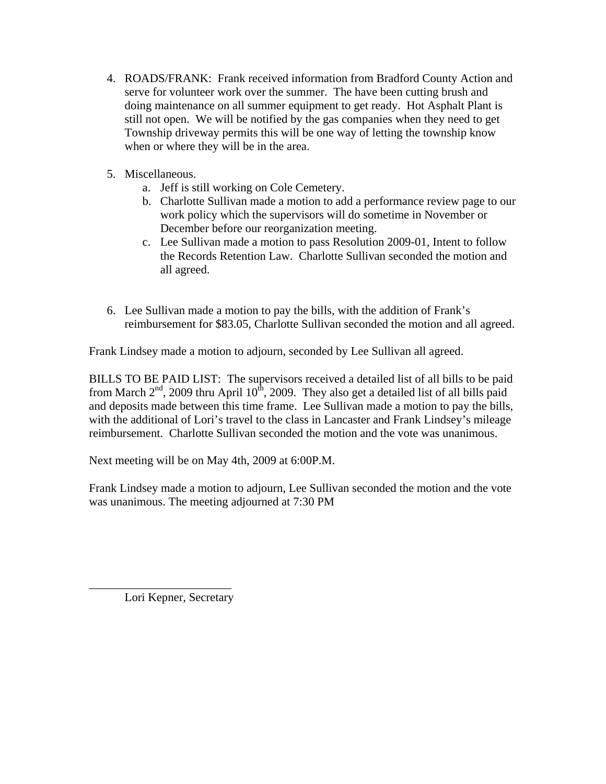- 4. ROADS/FRANK: Frank received information from Bradford County Action and serve for volunteer work over the summer. The have been cutting brush and doing maintenance on all summer equipment to get ready. Hot Asphalt Plant is still not open. We will be notified by the gas companies when they need to get Township driveway permits this will be one way of letting the township know when or where they will be in the area.
- 5. Miscellaneous.
	- a. Jeff is still working on Cole Cemetery.
	- b. Charlotte Sullivan made a motion to add a performance review page to our work policy which the supervisors will do sometime in November or December before our reorganization meeting.
	- c. Lee Sullivan made a motion to pass Resolution 2009-01, Intent to follow the Records Retention Law. Charlotte Sullivan seconded the motion and all agreed.
- 6. Lee Sullivan made a motion to pay the bills, with the addition of Frank's reimbursement for \$83.05, Charlotte Sullivan seconded the motion and all agreed.

Frank Lindsey made a motion to adjourn, seconded by Lee Sullivan all agreed.

BILLS TO BE PAID LIST: The supervisors received a detailed list of all bills to be paid from March  $2<sup>nd</sup>$ , 2009 thru April 10<sup>th</sup>, 2009. They also get a detailed list of all bills paid and deposits made between this time frame. Lee Sullivan made a motion to pay the bills, with the additional of Lori's travel to the class in Lancaster and Frank Lindsey's mileage reimbursement. Charlotte Sullivan seconded the motion and the vote was unanimous.

Next meeting will be on May 4th, 2009 at 6:00P.M.

Frank Lindsey made a motion to adjourn, Lee Sullivan seconded the motion and the vote was unanimous. The meeting adjourned at 7:30 PM

Lori Kepner, Secretary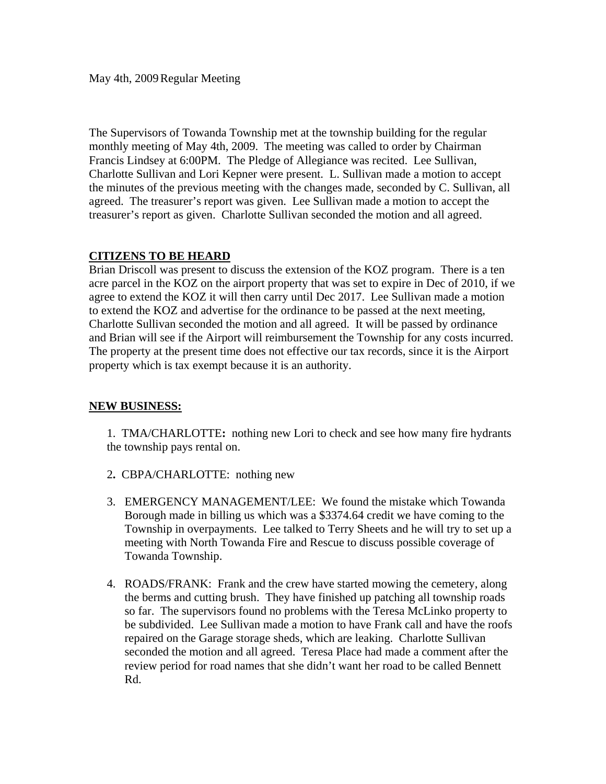May 4th, 2009 Regular Meeting

The Supervisors of Towanda Township met at the township building for the regular monthly meeting of May 4th, 2009. The meeting was called to order by Chairman Francis Lindsey at 6:00PM. The Pledge of Allegiance was recited. Lee Sullivan, Charlotte Sullivan and Lori Kepner were present. L. Sullivan made a motion to accept the minutes of the previous meeting with the changes made, seconded by C. Sullivan, all agreed. The treasurer's report was given. Lee Sullivan made a motion to accept the treasurer's report as given. Charlotte Sullivan seconded the motion and all agreed.

## **CITIZENS TO BE HEARD**

Brian Driscoll was present to discuss the extension of the KOZ program. There is a ten acre parcel in the KOZ on the airport property that was set to expire in Dec of 2010, if we agree to extend the KOZ it will then carry until Dec 2017. Lee Sullivan made a motion to extend the KOZ and advertise for the ordinance to be passed at the next meeting, Charlotte Sullivan seconded the motion and all agreed. It will be passed by ordinance and Brian will see if the Airport will reimbursement the Township for any costs incurred. The property at the present time does not effective our tax records, since it is the Airport property which is tax exempt because it is an authority.

## **NEW BUSINESS:**

1.TMA/CHARLOTTE**:** nothing new Lori to check and see how many fire hydrants the township pays rental on.

- 2**.** CBPA/CHARLOTTE: nothing new
- 3. EMERGENCY MANAGEMENT/LEE: We found the mistake which Towanda Borough made in billing us which was a \$3374.64 credit we have coming to the Township in overpayments. Lee talked to Terry Sheets and he will try to set up a meeting with North Towanda Fire and Rescue to discuss possible coverage of Towanda Township.
- 4. ROADS/FRANK: Frank and the crew have started mowing the cemetery, along the berms and cutting brush. They have finished up patching all township roads so far. The supervisors found no problems with the Teresa McLinko property to be subdivided. Lee Sullivan made a motion to have Frank call and have the roofs repaired on the Garage storage sheds, which are leaking. Charlotte Sullivan seconded the motion and all agreed. Teresa Place had made a comment after the review period for road names that she didn't want her road to be called Bennett Rd.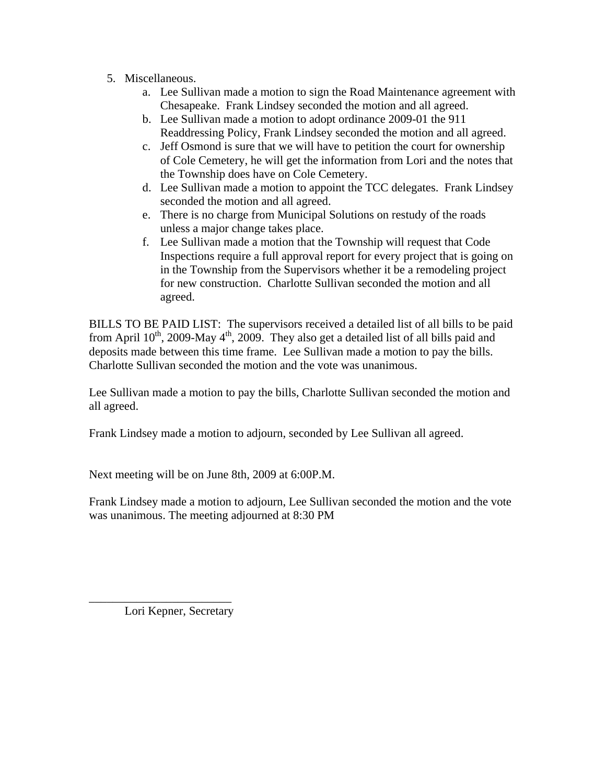- 5. Miscellaneous.
	- a. Lee Sullivan made a motion to sign the Road Maintenance agreement with Chesapeake. Frank Lindsey seconded the motion and all agreed.
	- b. Lee Sullivan made a motion to adopt ordinance 2009-01 the 911 Readdressing Policy, Frank Lindsey seconded the motion and all agreed.
	- c. Jeff Osmond is sure that we will have to petition the court for ownership of Cole Cemetery, he will get the information from Lori and the notes that the Township does have on Cole Cemetery.
	- d. Lee Sullivan made a motion to appoint the TCC delegates. Frank Lindsey seconded the motion and all agreed.
	- e. There is no charge from Municipal Solutions on restudy of the roads unless a major change takes place.
	- f. Lee Sullivan made a motion that the Township will request that Code Inspections require a full approval report for every project that is going on in the Township from the Supervisors whether it be a remodeling project for new construction. Charlotte Sullivan seconded the motion and all agreed.

BILLS TO BE PAID LIST: The supervisors received a detailed list of all bills to be paid from April  $10^{th}$ , 2009-May  $4^{th}$ , 2009. They also get a detailed list of all bills paid and deposits made between this time frame. Lee Sullivan made a motion to pay the bills. Charlotte Sullivan seconded the motion and the vote was unanimous.

Lee Sullivan made a motion to pay the bills, Charlotte Sullivan seconded the motion and all agreed.

Frank Lindsey made a motion to adjourn, seconded by Lee Sullivan all agreed.

Next meeting will be on June 8th, 2009 at 6:00P.M.

Frank Lindsey made a motion to adjourn, Lee Sullivan seconded the motion and the vote was unanimous. The meeting adjourned at 8:30 PM

Lori Kepner, Secretary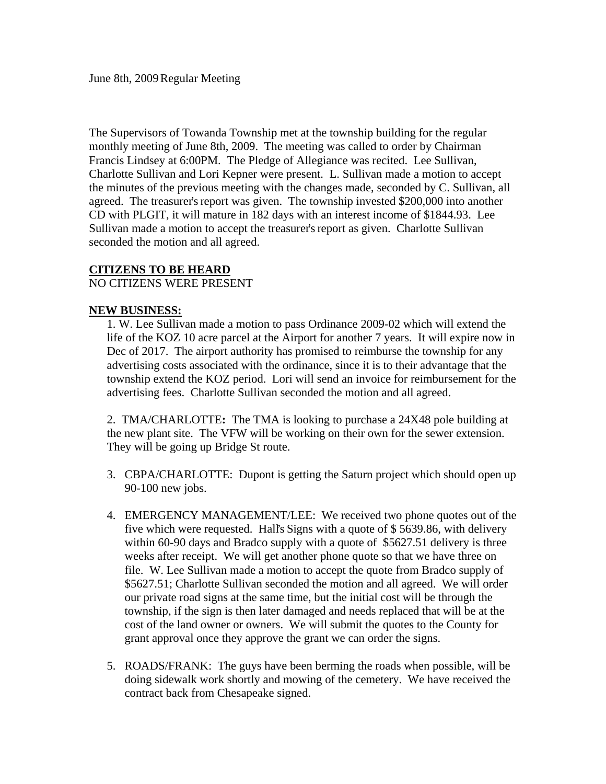The Supervisors of Towanda Township met at the township building for the regular monthly meeting of June 8th, 2009. The meeting was called to order by Chairman Francis Lindsey at 6:00PM. The Pledge of Allegiance was recited. Lee Sullivan, Charlotte Sullivan and Lori Kepner were present. L. Sullivan made a motion to accept the minutes of the previous meeting with the changes made, seconded by C. Sullivan, all agreed. The treasurer's report was given. The township invested \$200,000 into another CD with PLGIT, it will mature in 182 days with an interest income of \$1844.93. Lee Sullivan made a motion to accept the treasurer's report as given. Charlotte Sullivan seconded the motion and all agreed.

#### **CITIZENS TO BE HEARD**

#### NO CITIZENS WERE PRESENT

#### **NEW BUSINESS:**

1. W. Lee Sullivan made a motion to pass Ordinance 2009-02 which will extend the life of the KOZ 10 acre parcel at the Airport for another 7 years. It will expire now in Dec of 2017. The airport authority has promised to reimburse the township for any advertising costs associated with the ordinance, since it is to their advantage that the township extend the KOZ period. Lori will send an invoice for reimbursement for the advertising fees. Charlotte Sullivan seconded the motion and all agreed.

2.TMA/CHARLOTTE**:** The TMA is looking to purchase a 24X48 pole building at the new plant site. The VFW will be working on their own for the sewer extension. They will be going up Bridge St route.

- 3. CBPA/CHARLOTTE: Dupont is getting the Saturn project which should open up 90-100 new jobs.
- 4. EMERGENCY MANAGEMENT/LEE: We received two phone quotes out of the five which were requested. Hall's Signs with a quote of \$ 5639.86, with delivery within 60-90 days and Bradco supply with a quote of \$5627.51 delivery is three weeks after receipt. We will get another phone quote so that we have three on file. W. Lee Sullivan made a motion to accept the quote from Bradco supply of \$5627.51; Charlotte Sullivan seconded the motion and all agreed. We will order our private road signs at the same time, but the initial cost will be through the township, if the sign is then later damaged and needs replaced that will be at the cost of the land owner or owners. We will submit the quotes to the County for grant approval once they approve the grant we can order the signs.
- 5. ROADS/FRANK: The guys have been berming the roads when possible, will be doing sidewalk work shortly and mowing of the cemetery. We have received the contract back from Chesapeake signed.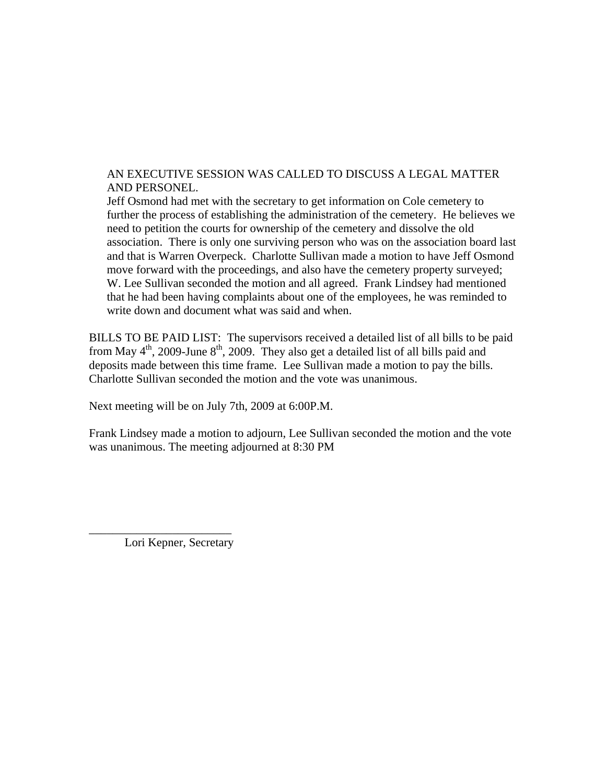### AN EXECUTIVE SESSION WAS CALLED TO DISCUSS A LEGAL MATTER AND PERSONEL.

Jeff Osmond had met with the secretary to get information on Cole cemetery to further the process of establishing the administration of the cemetery. He believes we need to petition the courts for ownership of the cemetery and dissolve the old association. There is only one surviving person who was on the association board last and that is Warren Overpeck. Charlotte Sullivan made a motion to have Jeff Osmond move forward with the proceedings, and also have the cemetery property surveyed; W. Lee Sullivan seconded the motion and all agreed. Frank Lindsey had mentioned that he had been having complaints about one of the employees, he was reminded to write down and document what was said and when.

BILLS TO BE PAID LIST: The supervisors received a detailed list of all bills to be paid from May  $4<sup>th</sup>$ , 2009-June  $8<sup>th</sup>$ , 2009. They also get a detailed list of all bills paid and deposits made between this time frame. Lee Sullivan made a motion to pay the bills. Charlotte Sullivan seconded the motion and the vote was unanimous.

Next meeting will be on July 7th, 2009 at 6:00P.M.

Frank Lindsey made a motion to adjourn, Lee Sullivan seconded the motion and the vote was unanimous. The meeting adjourned at 8:30 PM

Lori Kepner, Secretary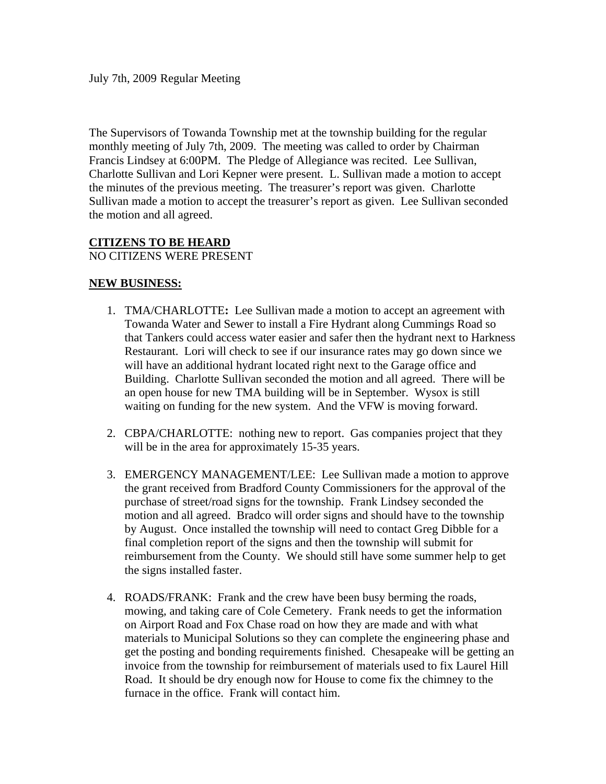The Supervisors of Towanda Township met at the township building for the regular monthly meeting of July 7th, 2009. The meeting was called to order by Chairman Francis Lindsey at 6:00PM. The Pledge of Allegiance was recited. Lee Sullivan, Charlotte Sullivan and Lori Kepner were present. L. Sullivan made a motion to accept the minutes of the previous meeting. The treasurer's report was given. Charlotte Sullivan made a motion to accept the treasurer's report as given. Lee Sullivan seconded the motion and all agreed.

#### **CITIZENS TO BE HEARD**

NO CITIZENS WERE PRESENT

#### **NEW BUSINESS:**

- 1. TMA/CHARLOTTE**:** Lee Sullivan made a motion to accept an agreement with Towanda Water and Sewer to install a Fire Hydrant along Cummings Road so that Tankers could access water easier and safer then the hydrant next to Harkness Restaurant. Lori will check to see if our insurance rates may go down since we will have an additional hydrant located right next to the Garage office and Building. Charlotte Sullivan seconded the motion and all agreed. There will be an open house for new TMA building will be in September. Wysox is still waiting on funding for the new system. And the VFW is moving forward.
- 2. CBPA/CHARLOTTE: nothing new to report. Gas companies project that they will be in the area for approximately 15-35 years.
- 3. EMERGENCY MANAGEMENT/LEE: Lee Sullivan made a motion to approve the grant received from Bradford County Commissioners for the approval of the purchase of street/road signs for the township. Frank Lindsey seconded the motion and all agreed. Bradco will order signs and should have to the township by August. Once installed the township will need to contact Greg Dibble for a final completion report of the signs and then the township will submit for reimbursement from the County. We should still have some summer help to get the signs installed faster.
- 4. ROADS/FRANK: Frank and the crew have been busy berming the roads, mowing, and taking care of Cole Cemetery. Frank needs to get the information on Airport Road and Fox Chase road on how they are made and with what materials to Municipal Solutions so they can complete the engineering phase and get the posting and bonding requirements finished. Chesapeake will be getting an invoice from the township for reimbursement of materials used to fix Laurel Hill Road. It should be dry enough now for House to come fix the chimney to the furnace in the office. Frank will contact him.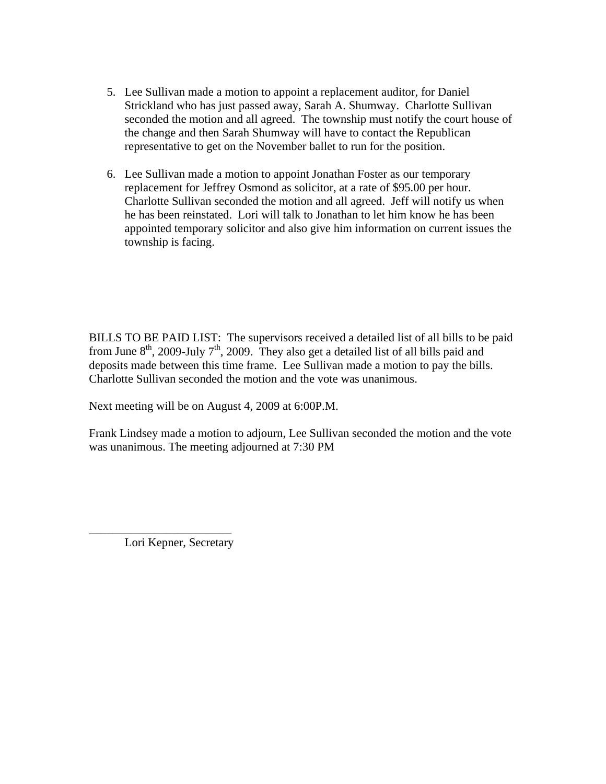- 5. Lee Sullivan made a motion to appoint a replacement auditor, for Daniel Strickland who has just passed away, Sarah A. Shumway. Charlotte Sullivan seconded the motion and all agreed. The township must notify the court house of the change and then Sarah Shumway will have to contact the Republican representative to get on the November ballet to run for the position.
- 6. Lee Sullivan made a motion to appoint Jonathan Foster as our temporary replacement for Jeffrey Osmond as solicitor, at a rate of \$95.00 per hour. Charlotte Sullivan seconded the motion and all agreed. Jeff will notify us when he has been reinstated. Lori will talk to Jonathan to let him know he has been appointed temporary solicitor and also give him information on current issues the township is facing.

BILLS TO BE PAID LIST: The supervisors received a detailed list of all bills to be paid from June  $8<sup>th</sup>$ , 2009-July  $7<sup>th</sup>$ , 2009. They also get a detailed list of all bills paid and deposits made between this time frame. Lee Sullivan made a motion to pay the bills. Charlotte Sullivan seconded the motion and the vote was unanimous.

Next meeting will be on August 4, 2009 at 6:00P.M.

Frank Lindsey made a motion to adjourn, Lee Sullivan seconded the motion and the vote was unanimous. The meeting adjourned at 7:30 PM

Lori Kepner, Secretary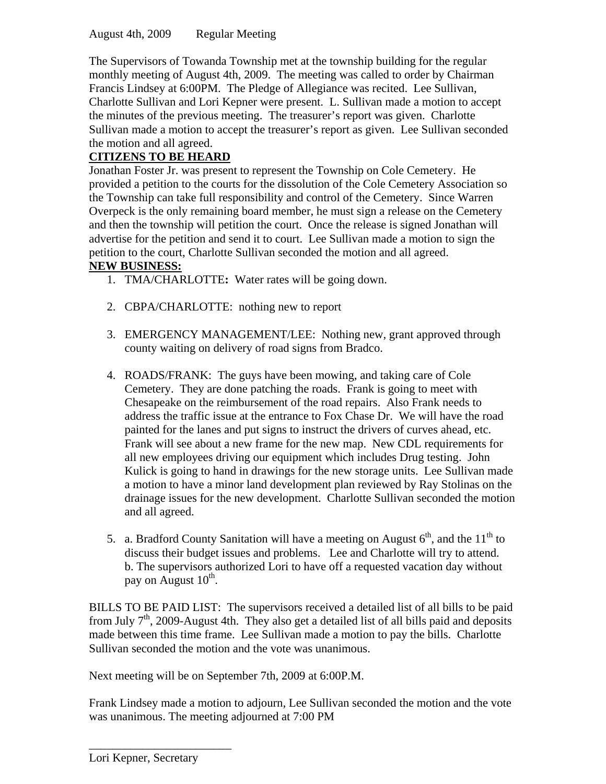August 4th, 2009 Regular Meeting

The Supervisors of Towanda Township met at the township building for the regular monthly meeting of August 4th, 2009. The meeting was called to order by Chairman Francis Lindsey at 6:00PM. The Pledge of Allegiance was recited. Lee Sullivan, Charlotte Sullivan and Lori Kepner were present. L. Sullivan made a motion to accept the minutes of the previous meeting. The treasurer's report was given. Charlotte Sullivan made a motion to accept the treasurer's report as given. Lee Sullivan seconded the motion and all agreed.

# **CITIZENS TO BE HEARD**

Jonathan Foster Jr. was present to represent the Township on Cole Cemetery. He provided a petition to the courts for the dissolution of the Cole Cemetery Association so the Township can take full responsibility and control of the Cemetery. Since Warren Overpeck is the only remaining board member, he must sign a release on the Cemetery and then the township will petition the court. Once the release is signed Jonathan will advertise for the petition and send it to court. Lee Sullivan made a motion to sign the petition to the court, Charlotte Sullivan seconded the motion and all agreed.

# **NEW BUSINESS:**

- 1. TMA/CHARLOTTE**:** Water rates will be going down.
- 2. CBPA/CHARLOTTE: nothing new to report
- 3. EMERGENCY MANAGEMENT/LEE: Nothing new, grant approved through county waiting on delivery of road signs from Bradco.
- 4. ROADS/FRANK: The guys have been mowing, and taking care of Cole Cemetery. They are done patching the roads. Frank is going to meet with Chesapeake on the reimbursement of the road repairs. Also Frank needs to address the traffic issue at the entrance to Fox Chase Dr. We will have the road painted for the lanes and put signs to instruct the drivers of curves ahead, etc. Frank will see about a new frame for the new map. New CDL requirements for all new employees driving our equipment which includes Drug testing. John Kulick is going to hand in drawings for the new storage units. Lee Sullivan made a motion to have a minor land development plan reviewed by Ray Stolinas on the drainage issues for the new development. Charlotte Sullivan seconded the motion and all agreed.
- 5. a. Bradford County Sanitation will have a meeting on August  $6<sup>th</sup>$ , and the  $11<sup>th</sup>$  to discuss their budget issues and problems. Lee and Charlotte will try to attend. b. The supervisors authorized Lori to have off a requested vacation day without pay on August  $10^{th}$ .

BILLS TO BE PAID LIST: The supervisors received a detailed list of all bills to be paid from July  $7<sup>th</sup>$ , 2009-August 4th. They also get a detailed list of all bills paid and deposits made between this time frame. Lee Sullivan made a motion to pay the bills. Charlotte Sullivan seconded the motion and the vote was unanimous.

Next meeting will be on September 7th, 2009 at 6:00P.M.

Frank Lindsey made a motion to adjourn, Lee Sullivan seconded the motion and the vote was unanimous. The meeting adjourned at 7:00 PM

Lori Kepner, Secretary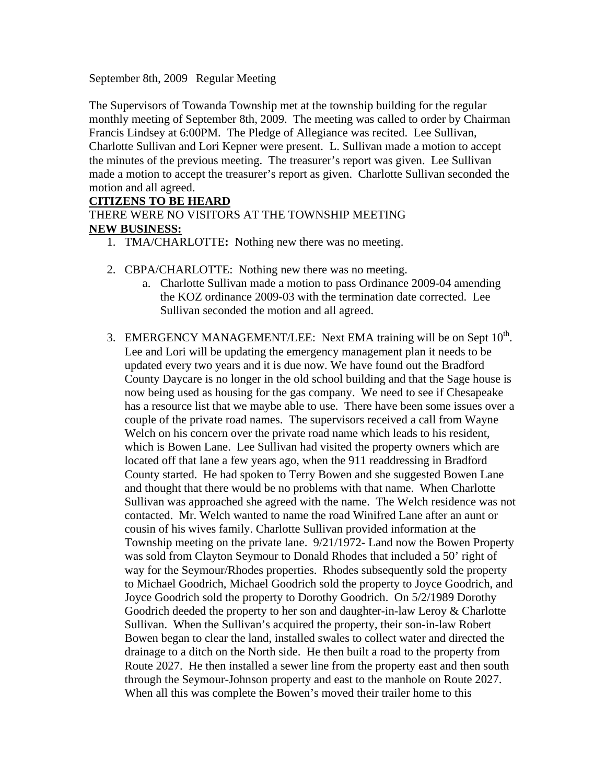September 8th, 2009 Regular Meeting

The Supervisors of Towanda Township met at the township building for the regular monthly meeting of September 8th, 2009. The meeting was called to order by Chairman Francis Lindsey at 6:00PM. The Pledge of Allegiance was recited. Lee Sullivan, Charlotte Sullivan and Lori Kepner were present. L. Sullivan made a motion to accept the minutes of the previous meeting. The treasurer's report was given. Lee Sullivan made a motion to accept the treasurer's report as given. Charlotte Sullivan seconded the motion and all agreed.

### **CITIZENS TO BE HEARD**

THERE WERE NO VISITORS AT THE TOWNSHIP MEETING **NEW BUSINESS:**

- 1. TMA/CHARLOTTE**:** Nothing new there was no meeting.
- 2. CBPA/CHARLOTTE: Nothing new there was no meeting.
	- a. Charlotte Sullivan made a motion to pass Ordinance 2009-04 amending the KOZ ordinance 2009-03 with the termination date corrected. Lee Sullivan seconded the motion and all agreed.
- 3. EMERGENCY MANAGEMENT/LEE: Next EMA training will be on Sept  $10^{th}$ . Lee and Lori will be updating the emergency management plan it needs to be updated every two years and it is due now. We have found out the Bradford County Daycare is no longer in the old school building and that the Sage house is now being used as housing for the gas company. We need to see if Chesapeake has a resource list that we maybe able to use. There have been some issues over a couple of the private road names. The supervisors received a call from Wayne Welch on his concern over the private road name which leads to his resident, which is Bowen Lane. Lee Sullivan had visited the property owners which are located off that lane a few years ago, when the 911 readdressing in Bradford County started. He had spoken to Terry Bowen and she suggested Bowen Lane and thought that there would be no problems with that name. When Charlotte Sullivan was approached she agreed with the name. The Welch residence was not contacted. Mr. Welch wanted to name the road Winifred Lane after an aunt or cousin of his wives family. Charlotte Sullivan provided information at the Township meeting on the private lane. 9/21/1972- Land now the Bowen Property was sold from Clayton Seymour to Donald Rhodes that included a 50' right of way for the Seymour/Rhodes properties. Rhodes subsequently sold the property to Michael Goodrich, Michael Goodrich sold the property to Joyce Goodrich, and Joyce Goodrich sold the property to Dorothy Goodrich. On 5/2/1989 Dorothy Goodrich deeded the property to her son and daughter-in-law Leroy & Charlotte Sullivan. When the Sullivan's acquired the property, their son-in-law Robert Bowen began to clear the land, installed swales to collect water and directed the drainage to a ditch on the North side. He then built a road to the property from Route 2027. He then installed a sewer line from the property east and then south through the Seymour-Johnson property and east to the manhole on Route 2027. When all this was complete the Bowen's moved their trailer home to this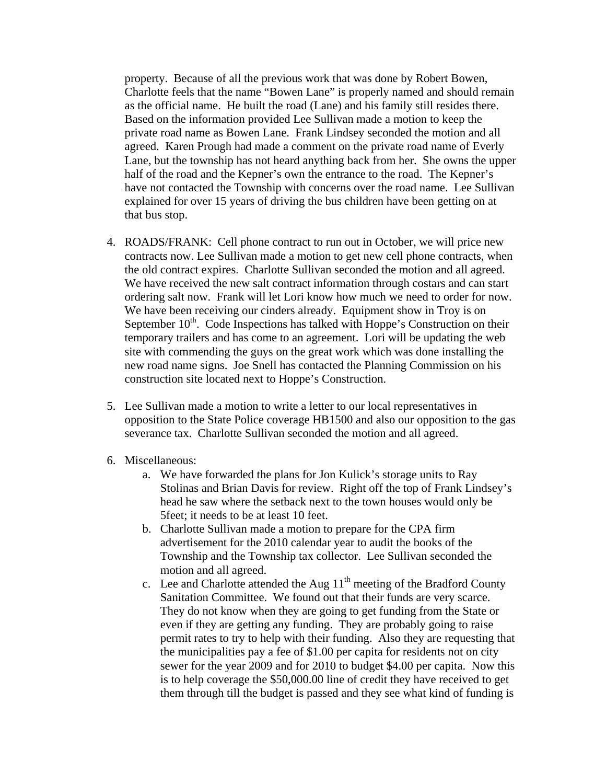property. Because of all the previous work that was done by Robert Bowen, Charlotte feels that the name "Bowen Lane" is properly named and should remain as the official name. He built the road (Lane) and his family still resides there. Based on the information provided Lee Sullivan made a motion to keep the private road name as Bowen Lane. Frank Lindsey seconded the motion and all agreed. Karen Prough had made a comment on the private road name of Everly Lane, but the township has not heard anything back from her. She owns the upper half of the road and the Kepner's own the entrance to the road. The Kepner's have not contacted the Township with concerns over the road name. Lee Sullivan explained for over 15 years of driving the bus children have been getting on at that bus stop.

- 4. ROADS/FRANK: Cell phone contract to run out in October, we will price new contracts now. Lee Sullivan made a motion to get new cell phone contracts, when the old contract expires. Charlotte Sullivan seconded the motion and all agreed. We have received the new salt contract information through costars and can start ordering salt now. Frank will let Lori know how much we need to order for now. We have been receiving our cinders already. Equipment show in Troy is on September  $10^{th}$ . Code Inspections has talked with Hoppe's Construction on their temporary trailers and has come to an agreement. Lori will be updating the web site with commending the guys on the great work which was done installing the new road name signs. Joe Snell has contacted the Planning Commission on his construction site located next to Hoppe's Construction.
- 5. Lee Sullivan made a motion to write a letter to our local representatives in opposition to the State Police coverage HB1500 and also our opposition to the gas severance tax. Charlotte Sullivan seconded the motion and all agreed.
- 6. Miscellaneous:
	- a. We have forwarded the plans for Jon Kulick's storage units to Ray Stolinas and Brian Davis for review. Right off the top of Frank Lindsey's head he saw where the setback next to the town houses would only be 5feet; it needs to be at least 10 feet.
	- b. Charlotte Sullivan made a motion to prepare for the CPA firm advertisement for the 2010 calendar year to audit the books of the Township and the Township tax collector. Lee Sullivan seconded the motion and all agreed.
	- c. Lee and Charlotte attended the Aug  $11<sup>th</sup>$  meeting of the Bradford County Sanitation Committee. We found out that their funds are very scarce. They do not know when they are going to get funding from the State or even if they are getting any funding. They are probably going to raise permit rates to try to help with their funding. Also they are requesting that the municipalities pay a fee of \$1.00 per capita for residents not on city sewer for the year 2009 and for 2010 to budget \$4.00 per capita. Now this is to help coverage the \$50,000.00 line of credit they have received to get them through till the budget is passed and they see what kind of funding is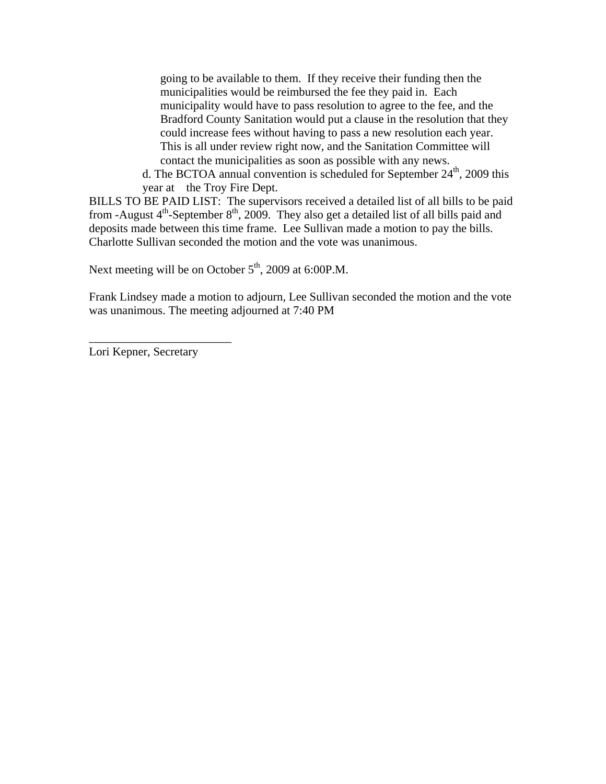going to be available to them. If they receive their funding then the municipalities would be reimbursed the fee they paid in. Each municipality would have to pass resolution to agree to the fee, and the Bradford County Sanitation would put a clause in the resolution that they could increase fees without having to pass a new resolution each year. This is all under review right now, and the Sanitation Committee will contact the municipalities as soon as possible with any news.

d. The BCTOA annual convention is scheduled for September  $24<sup>th</sup>$ , 2009 this year at the Troy Fire Dept.

BILLS TO BE PAID LIST: The supervisors received a detailed list of all bills to be paid from -August  $4<sup>th</sup>$ -September  $8<sup>th</sup>$ , 2009. They also get a detailed list of all bills paid and deposits made between this time frame. Lee Sullivan made a motion to pay the bills. Charlotte Sullivan seconded the motion and the vote was unanimous.

Next meeting will be on October  $5<sup>th</sup>$ , 2009 at 6:00P.M.

Frank Lindsey made a motion to adjourn, Lee Sullivan seconded the motion and the vote was unanimous. The meeting adjourned at 7:40 PM

Lori Kepner, Secretary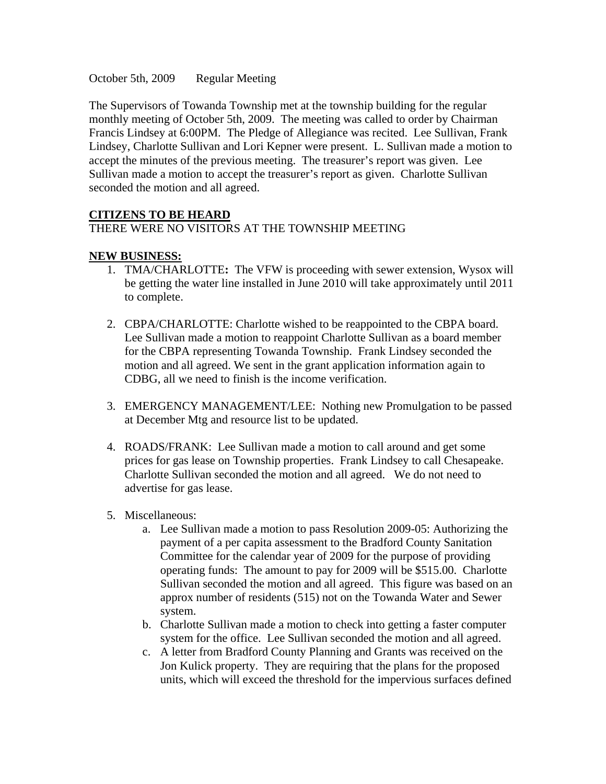October 5th, 2009 Regular Meeting

The Supervisors of Towanda Township met at the township building for the regular monthly meeting of October 5th, 2009. The meeting was called to order by Chairman Francis Lindsey at 6:00PM. The Pledge of Allegiance was recited. Lee Sullivan, Frank Lindsey, Charlotte Sullivan and Lori Kepner were present. L. Sullivan made a motion to accept the minutes of the previous meeting. The treasurer's report was given. Lee Sullivan made a motion to accept the treasurer's report as given. Charlotte Sullivan seconded the motion and all agreed.

#### **CITIZENS TO BE HEARD**

## THERE WERE NO VISITORS AT THE TOWNSHIP MEETING

#### **NEW BUSINESS:**

- 1. TMA/CHARLOTTE**:** The VFW is proceeding with sewer extension, Wysox will be getting the water line installed in June 2010 will take approximately until 2011 to complete.
- 2. CBPA/CHARLOTTE: Charlotte wished to be reappointed to the CBPA board. Lee Sullivan made a motion to reappoint Charlotte Sullivan as a board member for the CBPA representing Towanda Township. Frank Lindsey seconded the motion and all agreed. We sent in the grant application information again to CDBG, all we need to finish is the income verification.
- 3. EMERGENCY MANAGEMENT/LEE: Nothing new Promulgation to be passed at December Mtg and resource list to be updated.
- 4. ROADS/FRANK: Lee Sullivan made a motion to call around and get some prices for gas lease on Township properties. Frank Lindsey to call Chesapeake. Charlotte Sullivan seconded the motion and all agreed. We do not need to advertise for gas lease.
- 5. Miscellaneous:
	- a. Lee Sullivan made a motion to pass Resolution 2009-05: Authorizing the payment of a per capita assessment to the Bradford County Sanitation Committee for the calendar year of 2009 for the purpose of providing operating funds: The amount to pay for 2009 will be \$515.00. Charlotte Sullivan seconded the motion and all agreed. This figure was based on an approx number of residents (515) not on the Towanda Water and Sewer system.
	- b. Charlotte Sullivan made a motion to check into getting a faster computer system for the office. Lee Sullivan seconded the motion and all agreed.
	- c. A letter from Bradford County Planning and Grants was received on the Jon Kulick property. They are requiring that the plans for the proposed units, which will exceed the threshold for the impervious surfaces defined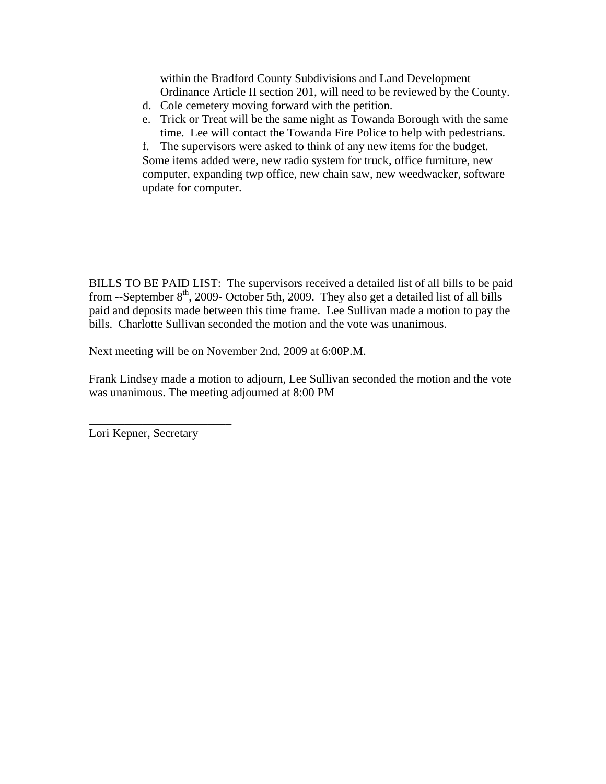within the Bradford County Subdivisions and Land Development Ordinance Article II section 201, will need to be reviewed by the County.

- d. Cole cemetery moving forward with the petition.
- e. Trick or Treat will be the same night as Towanda Borough with the same time. Lee will contact the Towanda Fire Police to help with pedestrians.

f. The supervisors were asked to think of any new items for the budget. Some items added were, new radio system for truck, office furniture, new computer, expanding twp office, new chain saw, new weedwacker, software update for computer.

BILLS TO BE PAID LIST: The supervisors received a detailed list of all bills to be paid from --September  $8<sup>th</sup>$ , 2009- October 5th, 2009. They also get a detailed list of all bills paid and deposits made between this time frame. Lee Sullivan made a motion to pay the bills. Charlotte Sullivan seconded the motion and the vote was unanimous.

Next meeting will be on November 2nd, 2009 at 6:00P.M.

Frank Lindsey made a motion to adjourn, Lee Sullivan seconded the motion and the vote was unanimous. The meeting adjourned at 8:00 PM

Lori Kepner, Secretary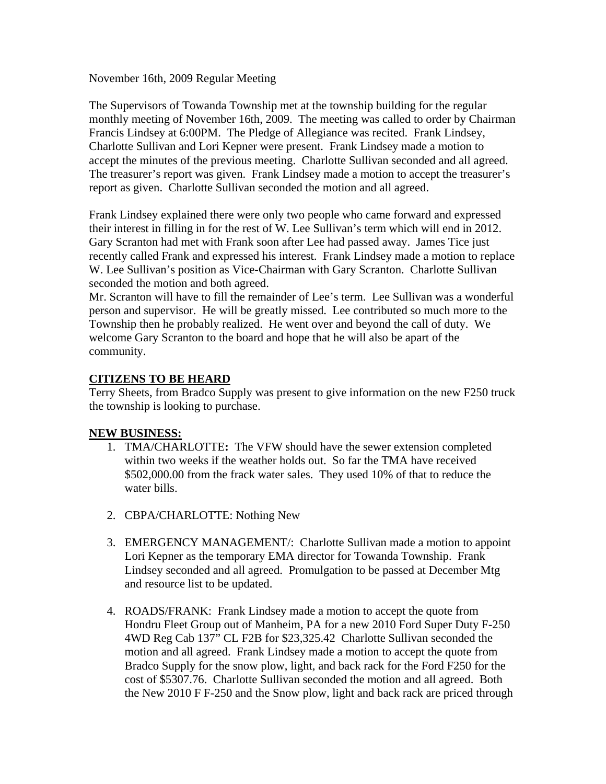November 16th, 2009 Regular Meeting

The Supervisors of Towanda Township met at the township building for the regular monthly meeting of November 16th, 2009. The meeting was called to order by Chairman Francis Lindsey at 6:00PM. The Pledge of Allegiance was recited. Frank Lindsey, Charlotte Sullivan and Lori Kepner were present. Frank Lindsey made a motion to accept the minutes of the previous meeting. Charlotte Sullivan seconded and all agreed. The treasurer's report was given. Frank Lindsey made a motion to accept the treasurer's report as given. Charlotte Sullivan seconded the motion and all agreed.

Frank Lindsey explained there were only two people who came forward and expressed their interest in filling in for the rest of W. Lee Sullivan's term which will end in 2012. Gary Scranton had met with Frank soon after Lee had passed away. James Tice just recently called Frank and expressed his interest. Frank Lindsey made a motion to replace W. Lee Sullivan's position as Vice-Chairman with Gary Scranton. Charlotte Sullivan seconded the motion and both agreed.

Mr. Scranton will have to fill the remainder of Lee's term. Lee Sullivan was a wonderful person and supervisor. He will be greatly missed. Lee contributed so much more to the Township then he probably realized. He went over and beyond the call of duty. We welcome Gary Scranton to the board and hope that he will also be apart of the community.

#### **CITIZENS TO BE HEARD**

Terry Sheets, from Bradco Supply was present to give information on the new F250 truck the township is looking to purchase.

#### **NEW BUSINESS:**

- 1. TMA/CHARLOTTE**:** The VFW should have the sewer extension completed within two weeks if the weather holds out. So far the TMA have received \$502,000.00 from the frack water sales. They used 10% of that to reduce the water bills.
- 2. CBPA/CHARLOTTE: Nothing New
- 3. EMERGENCY MANAGEMENT/: Charlotte Sullivan made a motion to appoint Lori Kepner as the temporary EMA director for Towanda Township. Frank Lindsey seconded and all agreed. Promulgation to be passed at December Mtg and resource list to be updated.
- 4. ROADS/FRANK: Frank Lindsey made a motion to accept the quote from Hondru Fleet Group out of Manheim, PA for a new 2010 Ford Super Duty F-250 4WD Reg Cab 137" CL F2B for \$23,325.42 Charlotte Sullivan seconded the motion and all agreed. Frank Lindsey made a motion to accept the quote from Bradco Supply for the snow plow, light, and back rack for the Ford F250 for the cost of \$5307.76. Charlotte Sullivan seconded the motion and all agreed. Both the New 2010 F F-250 and the Snow plow, light and back rack are priced through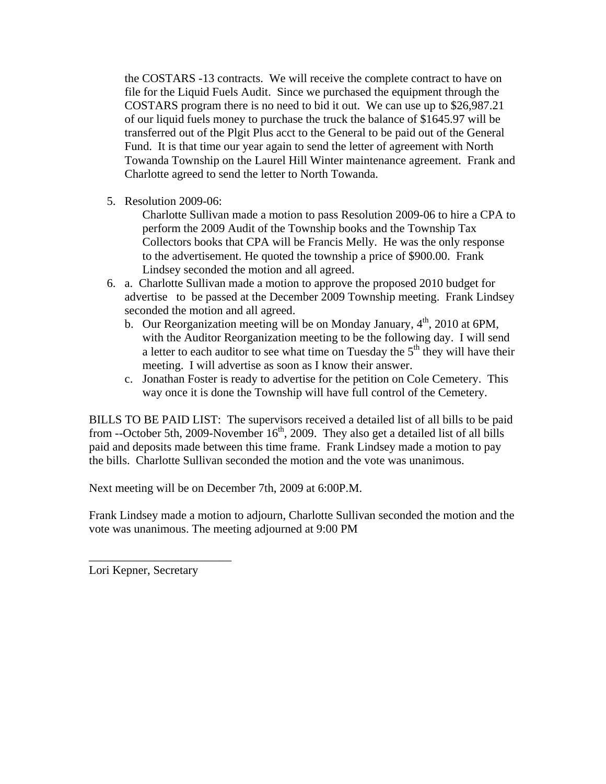the COSTARS -13 contracts. We will receive the complete contract to have on file for the Liquid Fuels Audit. Since we purchased the equipment through the COSTARS program there is no need to bid it out. We can use up to \$26,987.21 of our liquid fuels money to purchase the truck the balance of \$1645.97 will be transferred out of the Plgit Plus acct to the General to be paid out of the General Fund. It is that time our year again to send the letter of agreement with North Towanda Township on the Laurel Hill Winter maintenance agreement. Frank and Charlotte agreed to send the letter to North Towanda.

5. Resolution 2009-06:

Charlotte Sullivan made a motion to pass Resolution 2009-06 to hire a CPA to perform the 2009 Audit of the Township books and the Township Tax Collectors books that CPA will be Francis Melly. He was the only response to the advertisement. He quoted the township a price of \$900.00. Frank Lindsey seconded the motion and all agreed.

- 6. a. Charlotte Sullivan made a motion to approve the proposed 2010 budget for advertise to be passed at the December 2009 Township meeting. Frank Lindsey seconded the motion and all agreed.
	- b. Our Reorganization meeting will be on Monday January,  $4<sup>th</sup>$ , 2010 at 6PM, with the Auditor Reorganization meeting to be the following day. I will send a letter to each auditor to see what time on Tuesday the  $5<sup>th</sup>$  they will have their meeting. I will advertise as soon as I know their answer.
	- c. Jonathan Foster is ready to advertise for the petition on Cole Cemetery. This way once it is done the Township will have full control of the Cemetery.

BILLS TO BE PAID LIST: The supervisors received a detailed list of all bills to be paid from --October 5th, 2009-November  $16<sup>th</sup>$ , 2009. They also get a detailed list of all bills paid and deposits made between this time frame. Frank Lindsey made a motion to pay the bills. Charlotte Sullivan seconded the motion and the vote was unanimous.

Next meeting will be on December 7th, 2009 at 6:00P.M.

Frank Lindsey made a motion to adjourn, Charlotte Sullivan seconded the motion and the vote was unanimous. The meeting adjourned at 9:00 PM

Lori Kepner, Secretary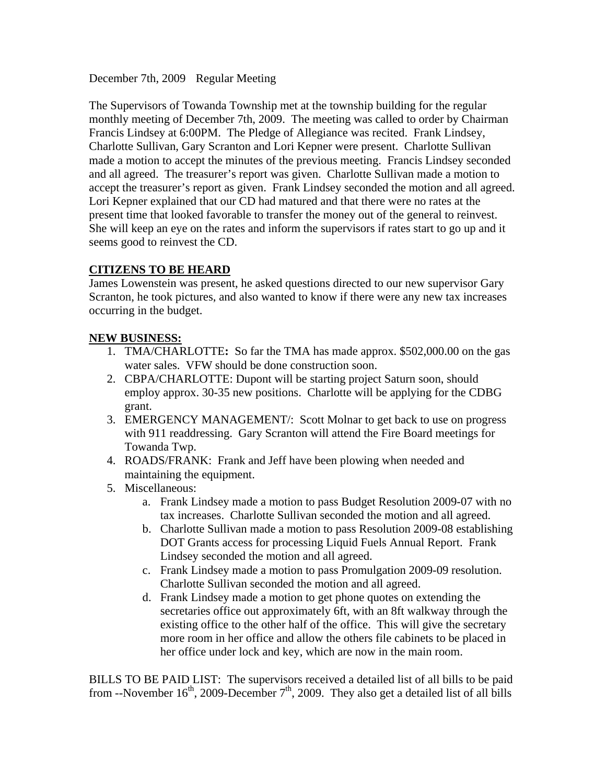December 7th, 2009 Regular Meeting

The Supervisors of Towanda Township met at the township building for the regular monthly meeting of December 7th, 2009. The meeting was called to order by Chairman Francis Lindsey at 6:00PM. The Pledge of Allegiance was recited. Frank Lindsey, Charlotte Sullivan, Gary Scranton and Lori Kepner were present. Charlotte Sullivan made a motion to accept the minutes of the previous meeting. Francis Lindsey seconded and all agreed. The treasurer's report was given. Charlotte Sullivan made a motion to accept the treasurer's report as given. Frank Lindsey seconded the motion and all agreed. Lori Kepner explained that our CD had matured and that there were no rates at the present time that looked favorable to transfer the money out of the general to reinvest. She will keep an eye on the rates and inform the supervisors if rates start to go up and it seems good to reinvest the CD.

# **CITIZENS TO BE HEARD**

James Lowenstein was present, he asked questions directed to our new supervisor Gary Scranton, he took pictures, and also wanted to know if there were any new tax increases occurring in the budget.

## **NEW BUSINESS:**

- 1. TMA/CHARLOTTE**:** So far the TMA has made approx. \$502,000.00 on the gas water sales. VFW should be done construction soon.
- 2. CBPA/CHARLOTTE: Dupont will be starting project Saturn soon, should employ approx. 30-35 new positions. Charlotte will be applying for the CDBG grant.
- 3. EMERGENCY MANAGEMENT/: Scott Molnar to get back to use on progress with 911 readdressing. Gary Scranton will attend the Fire Board meetings for Towanda Twp.
- 4. ROADS/FRANK: Frank and Jeff have been plowing when needed and maintaining the equipment.
- 5. Miscellaneous:
	- a. Frank Lindsey made a motion to pass Budget Resolution 2009-07 with no tax increases. Charlotte Sullivan seconded the motion and all agreed.
	- b. Charlotte Sullivan made a motion to pass Resolution 2009-08 establishing DOT Grants access for processing Liquid Fuels Annual Report. Frank Lindsey seconded the motion and all agreed.
	- c. Frank Lindsey made a motion to pass Promulgation 2009-09 resolution. Charlotte Sullivan seconded the motion and all agreed.
	- d. Frank Lindsey made a motion to get phone quotes on extending the secretaries office out approximately 6ft, with an 8ft walkway through the existing office to the other half of the office. This will give the secretary more room in her office and allow the others file cabinets to be placed in her office under lock and key, which are now in the main room.

BILLS TO BE PAID LIST: The supervisors received a detailed list of all bills to be paid from --November  $16<sup>th</sup>$ , 2009-December  $7<sup>th</sup>$ , 2009. They also get a detailed list of all bills